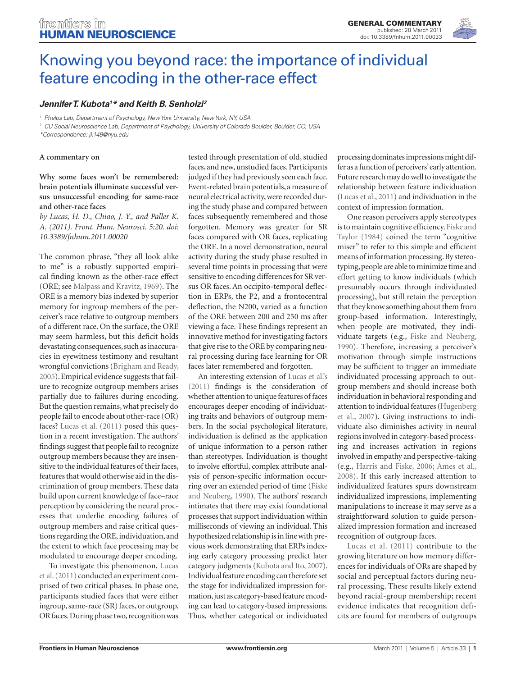

# [Knowing you beyond race: the importance of individual](http://www.frontiersin.org/Human_Neuroscience/10.3389/fnhum.2011.00033/full) feature encoding in the other-race effect

## **[Jennifer T. Kubota](http://www.frontiersin.org/people/jenniferkubota/24443)1 \* and Keith B. Senholzi2**

<sup>1</sup> Phelps Lab, Department of Psychology, New York University, New York, NY, USA

<sup>2</sup> CU Social Neuroscience Lab, Department of Psychology, University of Colorado Boulder, Boulder, CO, USA

\*Correspondence: jk149@nyu.edu

#### **A commentary on**

### **Why some faces won't be remembered: brain potentials illuminate successful versus unsuccessful encoding for same-race and other-race faces**

*by Lucas, H. D., Chiao, J. Y., and Paller K. A. (2011). Front. Hum. Neurosci. 5:20. doi: 10.3389/fnhum.2011.00020*

The common phrase, "they all look alike to me" is a robustly supported empirical finding known as the other-race effect (ORE; see Malpass and Kravitz, 1969). The ORE is a memory bias indexed by superior memory for ingroup members of the perceiver's race relative to outgroup members of a different race. On the surface, the ORE may seem harmless, but this deficit holds devastating consequences, such as inaccuracies in eyewitness testimony and resultant wrongful convictions (Brigham and Ready, 2005). Empirical evidence suggests that failure to recognize outgroup members arises partially due to failures during encoding. But the question remains, what precisely do people fail to encode about other-race (OR) faces? Lucas et al. (2011) posed this question in a recent investigation. The authors' findings suggest that people fail to recognize outgroup members because they are insensitive to the individual features of their faces, features that would otherwise aid in the discrimination of group members. These data build upon current knowledge of face–race perception by considering the neural processes that underlie encoding failures of outgroup members and raise critical questions regarding the ORE, individuation, and the extent to which face processing may be modulated to encourage deeper encoding.

To investigate this phenomenon, Lucas et al. (2011) conducted an experiment comprised of two critical phases. In phase one, participants studied faces that were either ingroup, same-race (SR) faces, or outgroup, OR faces. During phase two, recognition was

tested through presentation of old, studied faces, and new, unstudied faces. Participants judged if they had previously seen each face. Event-related brain potentials, a measure of neural electrical activity, were recorded during the study phase and compared between faces subsequently remembered and those forgotten. Memory was greater for SR faces compared with OR faces, replicating the ORE. In a novel demonstration, neural activity during the study phase resulted in several time points in processing that were sensitive to encoding differences for SR versus OR faces. An occipito-temporal deflection in ERPs, the P2, and a frontocentral deflection, the N200, varied as a function of the ORE between 200 and 250 ms after viewing a face. These findings represent an innovative method for investigating factors that give rise to the ORE by comparing neural processing during face learning for OR faces later remembered and forgotten.

An interesting extension of Lucas et al.'s (2011) findings is the consideration of whether attention to unique features of faces encourages deeper encoding of individuating traits and behaviors of outgroup members. In the social psychological literature, individuation is defined as the application of unique information to a person rather than stereotypes. Individuation is thought to involve effortful, complex attribute analysis of person-specific information occurring over an extended period of time (Fiske and Neuberg, 1990). The authors' research intimates that there may exist foundational processes that support individuation within milliseconds of viewing an individual. This hypothesized relationship is in line with previous work demonstrating that ERPs indexing early category processing predict later category judgments (Kubota and Ito, 2007). Individual feature encoding can therefore set the stage for individualized impression formation, just as category-based feature encoding can lead to category-based impressions. Thus, whether categorical or individuated processing dominates impressions might differ as a function of perceivers' early attention. Future research may do well to investigate the relationship between feature individuation (Lucas et al., 2011) and individuation in the context of impression formation.

One reason perceivers apply stereotypes is to maintain cognitive efficiency. Fiske and Taylor (1984) coined the term "cognitive miser" to refer to this simple and efficient means of information processing. By stereotyping, people are able to minimize time and effort getting to know individuals (which presumably occurs through individuated processing), but still retain the perception that they know something about them from group-based information. Interestingly, when people are motivated, they individuate targets (e.g., Fiske and Neuberg, 1990). Therefore, increasing a perceiver's motivation through simple instructions may be sufficient to trigger an immediate individuated processing approach to outgroup members and should increase both individuation in behavioral responding and attention to individual features (Hugenberg et al., 2007). Giving instructions to individuate also diminishes activity in neural regions involved in category-based processing and increases activation in regions involved in empathy and perspective-taking (e.g., Harris and Fiske, 2006; Ames et al., 2008). If this early increased attention to individualized features spurs downstream individualized impressions, implementing manipulations to increase it may serve as a straightforward solution to guide personalized impression formation and increased recognition of outgroup faces.

Lucas et al. (2011) contribute to the growing literature on how memory differences for individuals of ORs are shaped by social and perceptual factors during neural processing. These results likely extend beyond racial-group membership; recent evidence indicates that recognition deficits are found for members of outgroups